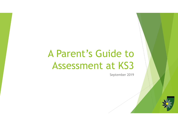# A Parent's Guide to Assessment at KS3

September 2019

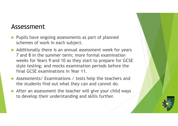#### Assessment

- Pupils have ongoing assessments as part of planned schemes of work in each subject.
- $\blacktriangleright$  Additionally there is an annual assessment week for years 7 and 8 in the summer term; more formal examination weeks for Years 9 and 10 as they start to prepare for GCSE style testing; and mocks examination periods before the final GCSE examinations in Year 11.
- Assessments/ Examinations / tests help the teachers and the students find out what they can and cannot do.
- After an assessment the teacher will give your child ways to develop their understanding and skills further.

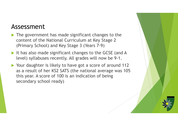#### Assessment

- The government has made significant changes to the content of the National Curriculum at Key Stage 2 (Primary School) and Key Stage 3 (Years 7-9)
- It has also made significant changes to the GCSE (and A level) syllabuses recently. All grades will now be 9-1.
- ▶ Your daughter is likely to have got a score of around 112 as a result of her KS2 SATS (the national average was 105 this year. A score of 100 is an indication of being secondary school ready)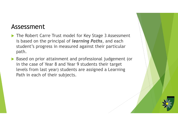#### Assessment

- Assessment<br>
The Robert Carre Trust model for Key Stage 3 Assessment<br>
is based on the principal of *learning Paths*, and each<br>
student's progress in measured against their particular is based on the principal of *learning Paths*, and each student's progress in measured against their particular path.
- Based on prior attainment and professional judgement (or in the case of Year 8 and Year 9 students their target levels from last year) students are assigned a Learning Path in each of their subjects.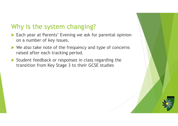## Why is the system changing?

- ▶ Each year at Parents' Evening we ask for parental opinion on a number of key issues.
- ▶ We also take note of the frequency and type of concerns raised after each tracking period.
- Student feedback or responses in class regarding the transition from Key Stage 3 to their GCSE studies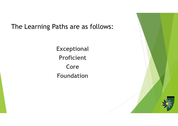## The Learning Paths are as follows:

Exceptional Proficient Core Foundation

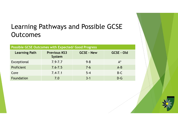# Learning Pathways and Possible GCSE **Outcomes**

| <b>Outcomes</b>                                            | Learning Pathways and Possible GCSE |                   |                   |  |
|------------------------------------------------------------|-------------------------------------|-------------------|-------------------|--|
| <b>Possible GCSE Outcomes with Expected/ Good Progress</b> |                                     |                   |                   |  |
| <b>Learning Path</b>                                       | <b>Previous KS3</b><br>System       | <b>GCSE - New</b> | <b>GCSE - Old</b> |  |
| Exceptional                                                | $7.9 - 7.7$                         | $9 - 8$           | $A^*$             |  |
| Proficient                                                 | $7.6 - 7.5$                         | $7 - 6$           | $A - B$           |  |
| Core                                                       | $7.4 - 7.1$                         | $5 - 4$           | $B-C$             |  |
| Foundation                                                 | 7.0                                 | $3 - 1$           | $D-G$             |  |
|                                                            |                                     |                   |                   |  |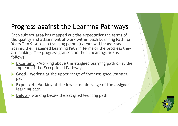# Progress against the Learning Pathways

Each subject area has mapped out the expectations in terms of the quality and attainment of work within each Learning Path for Years 7 to 9. At each tracking point students will be assessed against their assigned Learning Path in terms of the progress they are making. The progress grades and their meanings are as follows: **Progress against the Learning Pathways**<br>
Each subject area has mapped out the expectations in terms of<br>
the quality and attainment of work within each Learning Path for<br>
Years 7 to 9. At each tracking point students will **Progress against the Learning Pathways**<br>
Each subject area has mapped out the expectations in terms of<br>
the quality and attainment of work within each Learning Path for<br>
Years 7 to 9. At each tracking point students will Each subject area has mapped out the expectations in terms of<br>the quality and attainment of work within each Learning Path for<br>Years 7 to 9. At each tracking point students will be assessed<br>against their assigned Learning Nears 7 to 9. At each tracking point students will be a<br>gainst their assigned Learning Path in terms of the pare making. The progress grades and their meanings<br>follows:<br><br>**Excellent** - Working above the assigned learning p

- top end of the Exceptional Pathway.
- path
- learning path
- 

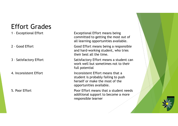## Effort Grades

- 
- 
- 
- 

Effort Grades<br>
1 - Exceptional Effort<br>
1 - Exceptional Effort<br>
2 - Good Effort<br>
2 - Good Effort<br>
2 - Good Effort<br>
2 - Good Effort<br>
2 - Good Effort<br>
2 - Good Effort<br>
2 - Good Effort<br>
2 - Good Effort<br>
2 - Good Effort<br>
2 - Go committed to getting the most out of all learning opportunities available.

Effort Grades<br>
1 - Exceptional Effort<br>
1 - Exceptional Effort<br>
2 - Good Effort<br>
2 - Good Effort<br>
2 - Good Effort<br>
2 - Good Effort<br>
2 - Good Effort<br>
2 - Satisfactory Effort<br>
2 - Satisfactory Effort<br>
2 - Satisfactory Effort<br> and hard-working student, who tries their best all the time.

Effort Grades<br>
1 - Exceptional Effort<br>
1 - Exceptional Effort<br>
2 - Good Effort<br>
2 - Good Effort<br>
2 - Good Effort<br>
2 - Good Effort<br>
3 - Satisfactory Effort<br>
3 - Satisfactory Effort<br>
3 - Satisfactory Effort<br>
3 - Satisfactory work well but sometimes not to their full potential

**Effort Grades**<br>
1 - Exceptional Effort Exceptional Effort means being<br>
committed to getting the most out of<br>
2 - Good Effort and the learning opportunities available.<br>
2 - Good Effort and hard-working student, who tries<br> student is probably failing to push herself or make the most of the opportunities available. committed to getting the most out of<br>
all learning opportunities available.<br>
Good Effort<br>
Good Effort means being a responsible<br>
and hard-working student, who tries<br>
their best all the time.<br>
3 - Satisfactory Effort<br>
Satis

additional support to become a more responsible learner